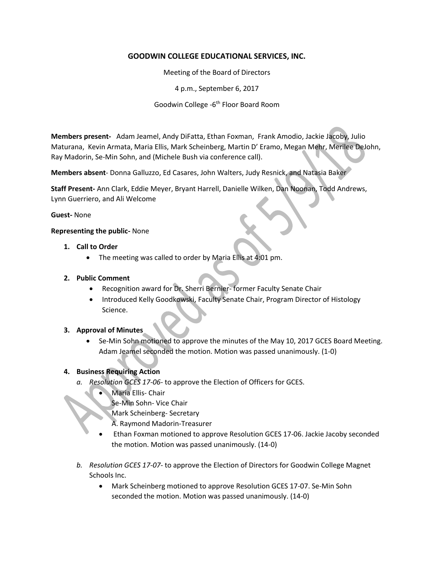# **GOODWIN COLLEGE EDUCATIONAL SERVICES, INC.**

Meeting of the Board of Directors

4 p.m., September 6, 2017

Goodwin College -6<sup>th</sup> Floor Board Room

**Members present-** Adam Jeamel, Andy DiFatta, Ethan Foxman, Frank Amodio, Jackie Jacoby, Julio Maturana, Kevin Armata, Maria Ellis, Mark Scheinberg, Martin D' Eramo, Megan Mehr, Merilee DeJohn, Ray Madorin, Se-Min Sohn, and (Michele Bush via conference call).

**Members absent**- Donna Galluzzo, Ed Casares, John Walters, Judy Resnick, and Natasia Baker

**Staff Present-** Ann Clark, Eddie Meyer, Bryant Harrell, Danielle Wilken, Dan Noonan, Todd Andrews, Lynn Guerriero, and Ali Welcome

### **Guest-** None

### **Representing the public-** None

- **1. Call to Order**
	- The meeting was called to order by Maria Ellis at 4:01 pm.

### **2. Public Comment**

- Recognition award for Dr. Sherri Bernier- former Faculty Senate Chair
- Introduced Kelly Goodkowski, Faculty Senate Chair, Program Director of Histology Science.

### **3. Approval of Minutes**

 Se-Min Sohn motioned to approve the minutes of the May 10, 2017 GCES Board Meeting. Adam Jeamel seconded the motion. Motion was passed unanimously. (1-0)

## **4. Business Requiring Action**

- *a. Resolution GCES 17-06* to approve the Election of Officers for GCES.
	- Maria Ellis- Chair
		- Se-Min Sohn- Vice Chair
		- Mark Scheinberg- Secretary
		- A. Raymond Madorin-Treasurer
	- Ethan Foxman motioned to approve Resolution GCES 17-06. Jackie Jacoby seconded the motion. Motion was passed unanimously. (14-0)
- *b. Resolution GCES 17-07* to approve the Election of Directors for Goodwin College Magnet Schools Inc.
	- Mark Scheinberg motioned to approve Resolution GCES 17-07. Se-Min Sohn seconded the motion. Motion was passed unanimously. (14-0)